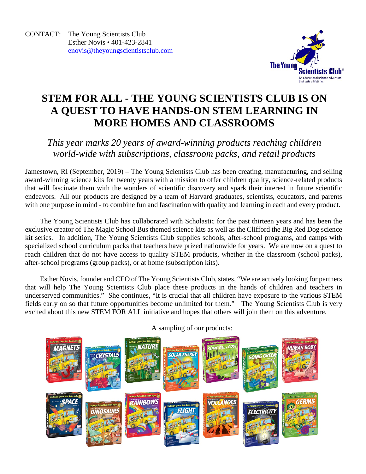

## **STEM FOR ALL - THE YOUNG SCIENTISTS CLUB IS ON A QUEST TO HAVE HANDS-ON STEM LEARNING IN MORE HOMES AND CLASSROOMS**

## *This year marks 20 years of award-winning products reaching children world-wide with subscriptions, classroom packs, and retail products*

Jamestown, RI (September, 2019) – The Young Scientists Club has been creating, manufacturing, and selling award-winning science kits for twenty years with a mission to offer children quality, science-related products that will fascinate them with the wonders of scientific discovery and spark their interest in future scientific endeavors. All our products are designed by a team of Harvard graduates, scientists, educators, and parents with one purpose in mind - to combine fun and fascination with quality and learning in each and every product.

The Young Scientists Club has collaborated with Scholastic for the past thirteen years and has been the exclusive creator of The Magic School Bus themed science kits as well as the Clifford the Big Red Dog science kit series. In addition, The Young Scientists Club supplies schools, after-school programs, and camps with specialized school curriculum packs that teachers have prized nationwide for years. We are now on a quest to reach children that do not have access to quality STEM products, whether in the classroom (school packs), after-school programs (group packs), or at home (subscription kits).

Esther Novis, founder and CEO of The Young Scientists Club, states, "We are actively looking for partners that will help The Young Scientists Club place these products in the hands of children and teachers in underserved communities." She continues, "It is crucial that all children have exposure to the various STEM fields early on so that future opportunities become unlimited for them." The Young Scientists Club is very excited about this new STEM FOR ALL initiative and hopes that others will join them on this adventure.



A sampling of our products: